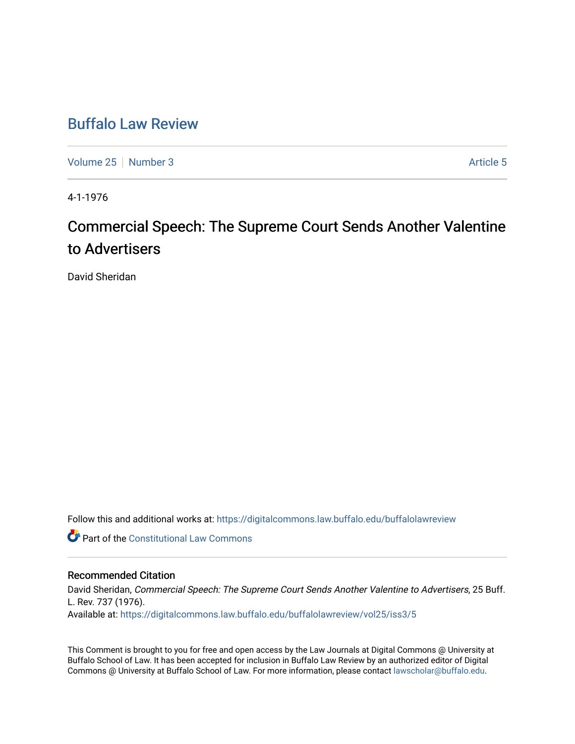# [Buffalo Law Review](https://digitalcommons.law.buffalo.edu/buffalolawreview)

[Volume 25](https://digitalcommons.law.buffalo.edu/buffalolawreview/vol25) [Number 3](https://digitalcommons.law.buffalo.edu/buffalolawreview/vol25/iss3) [Article 5](https://digitalcommons.law.buffalo.edu/buffalolawreview/vol25/iss3/5) Article 5

4-1-1976

# Commercial Speech: The Supreme Court Sends Another Valentine to Advertisers

David Sheridan

Follow this and additional works at: [https://digitalcommons.law.buffalo.edu/buffalolawreview](https://digitalcommons.law.buffalo.edu/buffalolawreview?utm_source=digitalcommons.law.buffalo.edu%2Fbuffalolawreview%2Fvol25%2Fiss3%2F5&utm_medium=PDF&utm_campaign=PDFCoverPages) 

**C** Part of the Constitutional Law Commons

### Recommended Citation

David Sheridan, Commercial Speech: The Supreme Court Sends Another Valentine to Advertisers, 25 Buff. L. Rev. 737 (1976). Available at: [https://digitalcommons.law.buffalo.edu/buffalolawreview/vol25/iss3/5](https://digitalcommons.law.buffalo.edu/buffalolawreview/vol25/iss3/5?utm_source=digitalcommons.law.buffalo.edu%2Fbuffalolawreview%2Fvol25%2Fiss3%2F5&utm_medium=PDF&utm_campaign=PDFCoverPages) 

This Comment is brought to you for free and open access by the Law Journals at Digital Commons @ University at Buffalo School of Law. It has been accepted for inclusion in Buffalo Law Review by an authorized editor of Digital Commons @ University at Buffalo School of Law. For more information, please contact [lawscholar@buffalo.edu](mailto:lawscholar@buffalo.edu).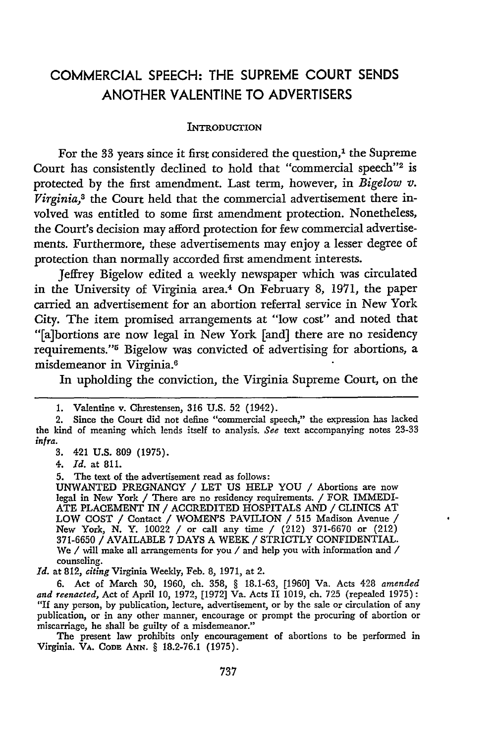## COMMERCIAL **SPEECH:** THE **SUPREME COURT SENDS** ANOTHER **VALENTINE** TO ADVERTISERS

#### **INTRODUCTION**

For the 33 years since it first considered the question,<sup>1</sup> the Supreme Court has consistently declined to hold that "commercial speech"2 **is** protected **by** the first amendment. Last term, however, in *Bigelow v. Virginia,3* the Court held that the commercial advertisement there involved was entitled to some first amendment protection. Nonetheless, the Court's decision may afford protection for few commercial advertisements. Furthermore, these advertisements may enjoy a lesser degree of protection than normally accorded first amendment interests.

Jeffrey Bigelow edited a weekly newspaper which was circulated in the University of Virginia area.4 On February **8, 1971,** the paper carried an advertisement for an abortion referral service in New York City. The item promised arrangements at "low cost" and noted that "[a]bortions are now legal in New York [and] there are no residency requirements."<sup>5</sup> Bigelow was convicted of advertising for abortions, a misdemeanor in Virginia. <sup>6</sup>

In upholding the conviction, the Virginia Supreme Court, on the

4. *Id.* at 811.

5. The text of the advertisement read as follows:<br>UNWANTED PREGNANCY / LET US HELP YOU / Abortions are now UNWANTED PREGNANCY / LET **US** HELP **YOU** / Abortions are now legal in New York / There are no residency requirements. / FOR IMMEDI-**ATE PLACEMENT** IN / ACCREDITED HOSPITALS **AND** / CLINICS AT LOW COST / Contact / WOMEN'S PAVILION / **515** Madison Avenue / New York, **N.** Y. 10022 / or call any time / (212) 371-6670 or (212) **371-6650** / AVAILABLE 7 DAYS A WEEK / STRICTLY CONFIDENTIAL. We / will make all arrangements for you / and help you with information and */* counseling.

*Id.* at 812, *citing* Virginia Weekly, Feb. **8,** 1971, at 2.

**6.** Act of March 30, 1960, ch. 358, § 18.1-63, [1960] Va. Acts 428 *amended and reenacted,* Act of April 10, 1972, [1972] Va. Acts 11 1019, ch. 725 (repealed 1975): **"If** any person, by publication, lecture, advertisement, or by the sale or circulation **of** any publication, or in any other manner, encourage or prompt the procuring of abortion or miscarriage, he shall be guilty of a misdemeanor."

The present law prohibits only encouragement of abortions to be performed in Virginia. VA. Cona **ANN.** § 18.2-76.1 (1975).

**<sup>1.</sup>** Valentine v. Chrestensen, **316 U.S.** 52 (1942).

<sup>2.</sup> Since the Court did not define "commercial speech," the expression has lacked the kind of meaning which lends itself to analysis. See text accompanying notes 23-33 *infra.*

**<sup>3.</sup>** 421 **U.S. 809** (1975).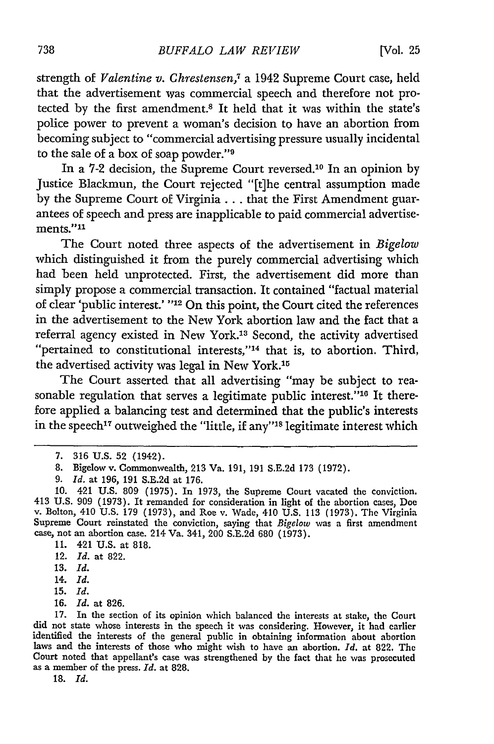strength of *Valentine v. Chrestensen,7* a 1942 Supreme Court case, held that the advertisement was commercial speech and therefore not protected by the first amendment.<sup>8</sup> It held that it was within the state's police power to prevent a woman's decision to have an abortion from becoming subject to "commercial advertising pressure usually incidental to the sale of a box of soap powder."'9

In a 7-2 decision, the Supreme Court reversed.10 In an opinion by Justice Blackmun, the Court rejected "[t]he central assumption made by the Supreme Court of Virginia... that the First Amendment guarantees of speech and press are inapplicable to paid commercial advertise $ments.<sup>711</sup>$ 

The Court noted three aspects of the advertisement in *Bigelow* which distinguished it from the purely commercial advertising which had been held unprotected. First, the advertisement did more than simply propose a commercial transaction. It contained "factual material of clear 'public interest.' **"12** On this point, the Court cited the references in the advertisement to the New York abortion law and the fact that a referral agency existed in New York.13 Second, the activity advertised "pertained to constitutional interests,"<sup>14</sup> that is, to abortion. Third, the advertised activity was legal in New York.15

The Court asserted that all advertising "may be subject to reasonable regulation that serves a legitimate public interest."<sup>16</sup> It therefore applied a balancing test and determined that the public's interests in the speech<sup>17</sup> outweighed the "little, if any"<sup>18</sup> legitimate interest which

13. *Id.*

- **15.** *Id.*
- 16. *Id.* at 826.

**18.** *Id.*

<sup>7. 316</sup> U.S. 52 (1942).

<sup>8.</sup> Bigelow v. Commonwealth, 213 Va. 191, 191 S.E.2d 173 (1972).

<sup>9.</sup> *Id.* at 196, 191 S.E.2d at 176.

<sup>10. 421</sup> U.S. 809 (1975). In 1973, the Supreme Court vacated the conviction. 413 U.S. 909 (1973). It remanded for consideration in light of the abortion cases, Doev. Bolton, 410 U.S. 179 (1973), and Roe v. Wade, 410 U.S. 113 (1973). The Virginia<br>Supreme Court reinstated the conviction, saying that Supreme Court reinstated the conviction, saying that *Bigelow* was a first amendment case, not an abortion case. 214 Va. 341, 200 S.E.2d 680 (1973).

<sup>11. 421</sup> U.S. at 818.

<sup>12.</sup> *Id.* at 822.

<sup>14.</sup> *Id.*

<sup>17.</sup> In the section of its opinion which balanced the interests at stake, the Court did not state whose interests in the speech it was considering. However, it had earlier identified the interests of the general public in obtaining information about abortion laws and the interests of those who might wish to have an abortion. *Id.* at 822. The Court noted that appellant's case was strengthened by the fact that he was prosecuted as a member of the press. *Id.* at 828.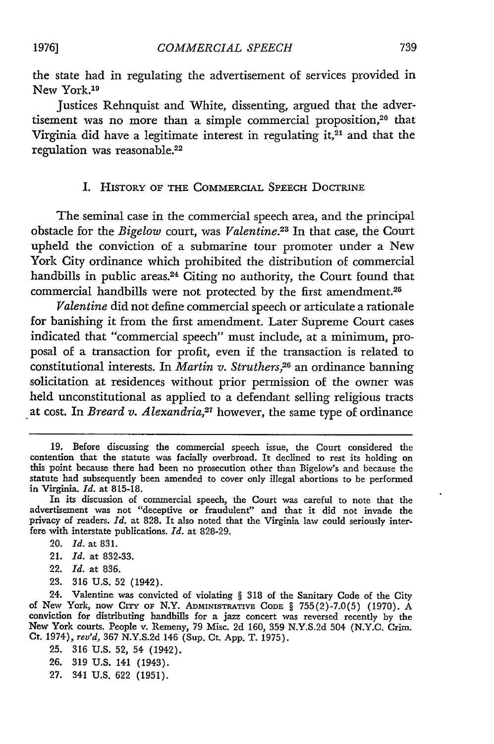the state had in regulating the advertisement of services provided in New York.<sup>19</sup>

Justices Rehnquist and White, dissenting, argued that the advertisement was no more than a simple commercial proposition,20 that Virginia did have a legitimate interest in regulating it, $21$  and that the regulation was reasonable.<sup>22</sup>

#### I. HISTORY OF THE COMMERCIAL SPEECH DOCTRINE

The seminal case in the commercial speech area, and the principal obstacle for the *Bigelow* court, was *Valentine.23* In that case, the Court upheld the conviction of a submarine tour promoter under a New York City ordinance which prohibited the distribution of commercial handbills in public areas.<sup>24</sup> Citing no authority, the Court found that commercial handbills were not protected by the first amendment.<sup>25</sup>

*Valentine* did not define commercial speech or articulate a rationale for banishing it from the first amendment. Later Supreme Court cases indicated that "commercial speech" must include, at a minimum, proposal of a transaction for profit, even if the transaction is related to constitutional interests. In *Martin v. Struthers*,<sup>26</sup> an ordinance banning solicitation at residences without prior permission of the owner was held unconstitutional as applied to a defendant selling religious tracts at cost. In *Breard v. Alexandria*,<sup>27</sup> however, the same type of ordinance

- 20. *Id.* at 831.
- 21. *Id.* at 832-33.
- 22. *Id.* at 836.
- 23. 316 U.S. 52 (1942).

24. Valentine was convicted of violating § 318 of the Sanitary Code of the City of New York, now CiTY **OF** N.Y. **ADmINISTRATIVE CODE** § 755(2)-7.0(5) (1970). A conviction for distributing handbills for a jazz concert was reversed recently by the New York courts. People v. Remeny, 79 Misc. **2d** 160, 359 N.Y.S.2d 504 (N.Y.C. Crim. Ct. 1974), *rev'd,* **367** N.Y.S.2d 146 (Sup. Ct. App. T. 1975).

- 25. **316** U.S. **52,** 54 (1942).
- **26.** 319 U.S. 141 (1943).
- **27.** 341 U.S. **622** (1951).

**<sup>19.</sup>** Before discussing the commercial speech issue, the Court considered the contention that the statute was facially overbroad. It declined to rest its holding on this point because there had been no prosecution other than Bigelow's and because the statute had subsequently been amended to cover only illegal abortions to be performed in Virginia. *Id.* at 815-18.

In its discussion of commercial speech, the Court was careful to note that the advertisement was not "deceptive or fraudulent" and that it did not invade the privacy of readers. *Id.* at 828. It also noted that the Virginia law could seriously interfere with interstate publications. *Id.* at 828-29.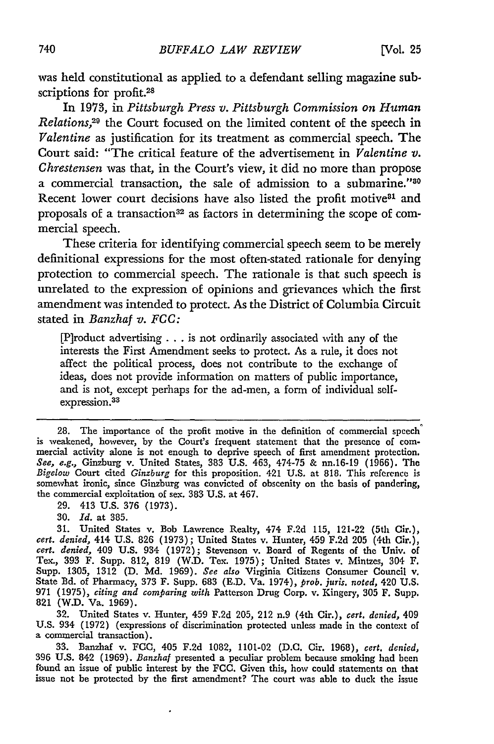was **held** constitutional as applied to a defendant selling magazine subscriptions for profit.<sup>28</sup>

In **1973,** in *Pittsburgh Press v. Pittsburgh Commission on Human Relations,<sup>29</sup>* the Court focused on the limited content of the speech in *Valentine* as justification for its treatment as commercial speech. The Court said: "The critical feature of the advertisement in *Valentine v. Chrestensen* was that, in the Court's view, it did no more than propose a commercial transaction, the sale of admission to a submarine."<sup>80</sup> Recent lower court decisions have also listed the profit motive<sup>81</sup> and proposals of a transaction<sup>32</sup> as factors in determining the scope of commercial speech.

These criteria for identifying commercial speech seem to be merely definitional expressions for the most often-stated rationale for denying protection to commercial speech. The rationale is that such speech is unrelated to the expression of opinions and grievances which the first amendment was intended to protect. As the District of Columbia Circuit stated in *Banzhaf v. FCC:*

[P]roduct advertising... is not ordinarily associated with any of the interests the First Amendment seeks to protect. As a rule, it does not affect the political process, does not contribute to the exchange of ideas, does not provide information on matters of public importance, and is not, except perhaps for the ad-men, a form of individual selfexpression.<sup>33</sup>

**29.** 413 U.S. 376 (1973).

32. United States v. Hunter, 459 F.2d 205, 212 n.9 (4th Cir.), *cert. denied,* 409 U.S. 934 (1972) (expressions of discrimination protected unless made in the context of a commercial transaction).

**33.** Banzhaf v. FCC, 405 F.2d 1082, 1101-02 (D.C. Cir. 1968), *cert. denied,* 396 U.S. 842 (1969). *Banzhaf* presented a peculiar problem because smoking had been found an issue of public interest by the FCC. Given this, how could statements on that issue not be protected by the first amendment? The court was able to duck the issue

<sup>28.</sup> The importance of the profit motive in the definition of commercial speech is weakened, however, by the Court's frequent statement that the presence of com- mercial activity alone is not enough to deprive speech of first amendment protection. *See, e.g.,* Ginzburg v. United States, **383** U.S. 463, 474-75 & nn.16-19 (1966). The *Bigelow* Court cited *Ginzburg* for this proposition. 421 U.S. at 818. This reference is somewhat ironic, since Ginzburg was convicted of obscenity on the basis of pandering, the commercial exploitation of sex. **383** U.S. at 467.

<sup>30.</sup> *Id.* at 385.

<sup>31.</sup> United States v. Bob Lawrence Realty, 474 F.2d 115, 121-22 (5th Cir.), *cert. denied,* 414 U.S. **826** (1973); United States v. Hunter, 459 **F.2d 205** (4th Cir.), *cert. denied,* 409 U.S. 934 **(1972);** Stevenson v. Board of Regents of the Univ. of Tex., **393** F. Supp. 812, **819** (W.D. Tex. 1975); United States v. Mintzes, 304 F. Supp. 1305, 1312 (D. **Md.** 1969). *See also* Virginia Citizens Consumer Council v. State Bd. of Pharmacy, **373** F. Supp. **683** (E.D. Va. 1974), *prob. juris. noted,* 420 U.S. **971** (1975), *citing and comparing with* Patterson Drug Corp. v. Kingery, 305 F. Supp. 821 (W.D. Va. **1969).**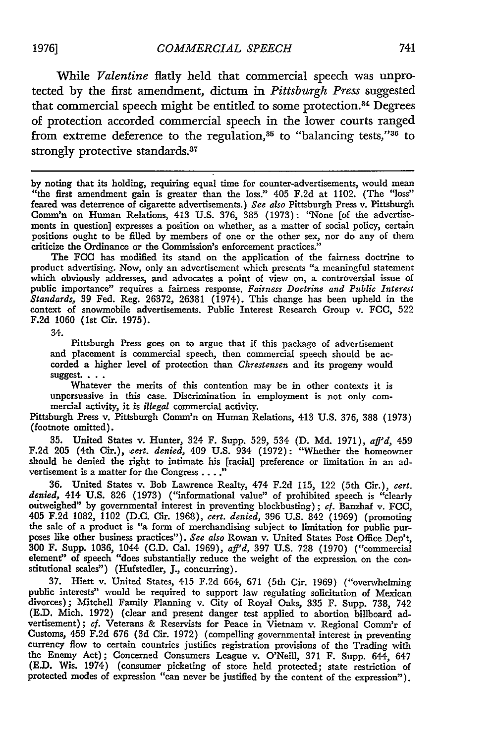**1976]**

While *Valentine* flatly held that commercial speech was unprotected by the first amendment, dictum in *Pittsburgh Press* suggested that commercial speech might be entitled to some protection.<sup>34</sup> Degrees of protection accorded commercial speech in the lower courts ranged from extreme deference to the regulation, $35$  to "balancing tests," $36$  to strongly protective standards.<sup>37</sup>

by noting that its holding, requiring equal time for counter-advertisements, would mean "the first amendment gain is greater than the loss." 405 F.2d at 1102. (The "loss" feared was deterrence of cigarette advertisements.) *See also* Pittsburgh Press v. Pittsburgh Comm'n on Human Relations, 413 U.S. 376, 385 (1973): "None [of the advertisements in question] expresses a position on whether, as a matter of social policy, certain positions ought to be filled **by** members of one or the other sex, nor do any of them criticize the Ordinance or the Commission's enforcement practices."

The **FCC** has modified its stand on the application of the fairness doctrine to product advertising. Now, only an advertisement which presents "a meaningful statement which obviously addresses, and advocates a point of view on, a controversial issue of public importance" requires a fairness response. *Fairness Doctrine and Public Interest Standards,* 39 Fed. Reg. 26372, 26381 (1974). This change has been upheld in the context of snowmobile advertisements. Public Interest Research Group v. FCC, 522 F.2d 1060 (1st Cir. 1975).

34.

Pittsburgh Press goes on to argue that if this package of advertisement and placement is commercial speech, then commercial speech should be accorded a higher level of protection than *Chrestensen* and its progeny would suggest. **. . .**

Whatever the merits of this contention may be in other contexts it is unpersuasive in this case. Discrimination in employment is not only commercial activity, it is *illegal* commercial activity.

Pittsburgh Press v. Pittsburgh Comm'n on Human Relations, 413 **U.S.** 376, **388** (1973) (footnote omitted).

**35.** United States v. Hunter, 324 F. Supp. **529,** 534 **(D. Md. 1971),** *aff'd,* 459 **F.2d 205** (4th Cir.), *cert. denied,* 409 **U.S.** 934 **(1972):** "Whether the homeowner should be denied the right to intimate his [racial] preference or limitation in an advertisement is a matter for the Congress .... **"**

**36.** United States v. Bob Lawrence Realty, 474 **F.2d 115,** 122 (5th Cir.), *cert. denied,* 414 **U.S. 826 (1973)** ("informational value" of prohibited speech is "clearly outweighed" **by** governmental interest in preventing blockbusting); cf. Banzhaf v. FCC, 405 **F.2d 1082,** 1102 **(D.C.** Cir. **1968),** *cert. denied,* **396 U.S.** 842 **(1969)** (promoting the sale of a product is "a form of merchandising subject to limitation for public purposes like other business practices"). *See also* Rowan v. United States Post Office Dep't, 300 F. Supp. **1036,** 1044 **(C.D.** Cal. **1969),** *aff'd,* **397 U.S. 728 (1970)** ("commercial element" of speech "does substantially reduce the weight of the expression on the constitutional scales") (Hufsteder, **J.,** concurring).

**37.** Hiett v. United States, 415 **F.2d** 664, **671** (5th Cir. **1969)** ("overwhelming public interests" would be required to support law regulating solicitation of Mexican divorces); Mitchell Family Planning v. City of Royal Oaks, 335 F. Supp. 738, 742 **(E.D.** Mich. **1972)** (clear and present danger test applied to abortion billboard advertisement); *cf.* Veterans & Reservists for Peace in Vietnam v. Regional **Comm'r** of Customs, 459 **F.2d 676 (3d** Cir. **1972)** (compelling governmental interest in preventing currency flow to certain countries justifies registration provisions of the Trading with the Enemy Act); Concerned Consumers League v. O'Neill, **371** F. Supp. 644, 647 **(E.D.** Wis. 1974) (consumer picketing of store held protected; state restriction of protected modes of expression "can never be justified **by** the content of the expression").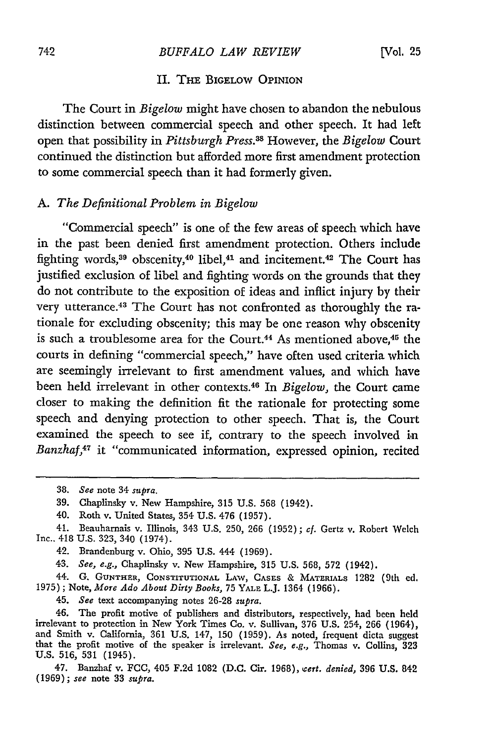#### II. **THE** BIGELOW OPINION

The Court in *Bigelow* might have chosen to abandon the nebulous distinction between commercial speech and other speech. It had left open that possibility in *Pittsburgh Press.3s* However, the *Bigelow* Court continued the distinction but afforded more first amendment protection to some commercial speech than it had formerly given.

#### A. *The Definitional Problem in Bigelow*

"Commercial speech" is one of the few areas of speech which have in the past been denied first amendment protection. Others include fighting words,<sup>39</sup> obscenity,<sup>40</sup> libel,<sup>41</sup> and incitement.<sup>42</sup> The Court has justified exclusion of libel and fighting words on the grounds that they do not contribute to the exposition of ideas and inflict injury by their very utterance.<sup>43</sup> The Court has not confronted as thoroughly the rationale for excluding obscenity; this may be one reason why obscenity is such a troublesome area for the Court.<sup>44</sup> As mentioned above,<sup>45</sup> the courts in defining "commercial speech," have often used criteria which are seemingly irrelevant to first amendment values, and which have been held irrelevant in other contexts.46 In *Bigelow,* the Court came closer to making the definition fit the rationale for protecting some speech and denying protection to other speech. That is, the Court examined the speech to see if, contrary to the speech involved in *Banzhaf,4 7* it "communicated information, expressed opinion, recited

43. *See, e.g.,* Chaplinsky v. New Hampshire, 315 U.S. 568, 572 (1942).

44. G. GUNTHER, CONSTITUTIONAL LAW, CASES & MATERIALS 1282 (9th ed. 1975); Note, *More Ado About Dirty Books,* 75 **YALE** L.J. 1364 (1966).

45. *See* text accompanying notes 26-28 *supra.*

46. The profit motive of publishers and distributors, respectively, had been held irrelevant to protection in New York Times Co. v. Sullivan, 376 U.S. 254, 266 (1964), and Smith v. California, 361 U.S. 147, 150 (1959). As noted, frequent dicta suggest that the profit motive of the speaker is irrelevant. *See, e.g.,* Thomas v. Collins, 323 U.S. 516, 531 (1945).

47. Banzhaf v. FCC, 405 F.2d 1082 (D.C. Cir. 1968), *cert. denied,* **396** U.S. 842 (1969); *see* note 33 *supra.*

<sup>38.</sup> *See* note 34 *supra.*

<sup>39.</sup> Chaplinsky v. New Hampshire, 315 U.S. 568 (1942).

<sup>40.</sup> Roth v. United States, 354 U.S. 476 (1957).

<sup>41.</sup> Beauharnais v. Illinois, 343 U.S. 250, 266 (1952) ; *ef.* Gertz v. Robert Welch Inc.. 418 U.S. 323, 340 (1974).

<sup>42.</sup> Brandenburg v. Ohio, 395 U.S. 444 (1969).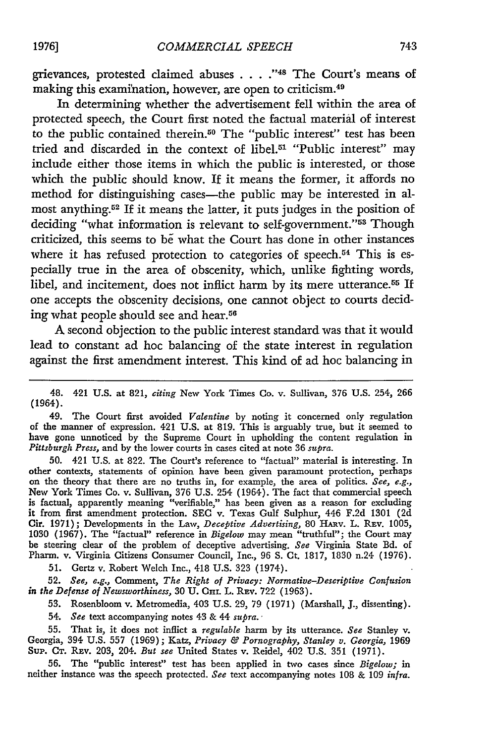grievances, protested claimed abuses . . . .<sup>748</sup> The Court's means of making this examihation, however, are open to criticism. <sup>49</sup>

In determining whether the advertisement fell within the area of protected speech, the Court first noted the factual material of interest to the public contained therein.<sup>50</sup> The "public interest" test has been tried and discarded in the context of libel.51 "Public interest" may include either those items in which the public is interested, or those which the public should know. If it means the former, it affords no method for distinguishing cases-the public may be interested in almost anything.52 If it means the latter, it puts judges in the position of deciding "what information is relevant to self-government."<sup>53</sup> Though criticized, this seems to be what the Court has done in other instances where it has refused protection to categories of speech.<sup>54</sup> This is especially true in the area of obscenity, which, unlike fighting words, libel, and incitement, does not inflict harm by its mere utterance.<sup>55</sup> If one accepts the obscenity decisions, one cannot object to courts deciding what people should see and hear.<sup>56</sup>

**A** second objection to the public interest standard was that it would lead to constant ad hoc balancing of the state interest in regulation against the first amendment interest. This kind of ad hoc balancing in

48. 421 **U.S.** at 821, *citing* New York Times Co. v. Sullivan, **376** U.S. 254, 266 (1964).

49. The Court first avoided *Valentine* by noting it concerned only regulation of the manner of expression. 421 U.S. at **819.** This is arguably true, but it seemed to have gone unnoticed by the Supreme Court in upholding the content regulation in *Pittsburgh Press,* and by the lower courts in cases cited at note 36 *supra.*

50. 421 **U.S.** at 822. The Court's reference to "factual" material is interesting. In other contexts, statements of opinion have been given paramount protection, perhaps on the theory that there are no truths in, for example, the area of politics. *See, e.g.,* New York Times Co. v. Sullivan, 376 U.S. 254 (1964). The fact that commercial speech is factual, apparently meaning "verifiable," has been given as a reason for excluding it from first amendment protection. **SEC** v. Texas Gulf Sulphur, 446 F.2d 1301 (2d Cir. 1971); Developments in the Law, *Deceptive Advertising,* 80 HAv. L. REv. 1005, 1030 (1967). The "factual" reference in *Bigelow* may mean "truthful"; the Court may be steering clear of the problem of deceptive advertising. *See* Virginia State Bd. of Pharm. v. Virginia Citizens Consumer Council, Inc., 96 **S.** Ct. 1817, 1830 n.24 (1976).

51. Gertz v. Robert Welch Inc., 418 U.S. 323 (1974).

**52.** *See, e.g.,* Comment, *The Right of Privacy: Normative-Descriptive Confusion in the Defense of Newsworthiness,* 30 U. CHI. L. REv. 722 (1963).

53. Rosenbloom v. Metromedia, 403 U.S. 29, 79 (1971) (Marshall, J., dissenting).

54. *See* text accompanying notes 43 & 44 *supra.*

55. That is, it does not inflict a *regulable* harm by its utterance. *See* Stanley v. Georgia, 394 **U.S.** 557 (1969); Katz, *Privacy & Pornography, Stanley v. Georgia,* <sup>1969</sup> Sup. **CT.** REv. 203, 204. *But see* United States v. Reidel, 402 U.S. 351 (1971).

56. The "public interest" test has been applied in two cases since *Bigelow;* in neither instance was the speech protected. *See* text accompanying notes 108 & 109 *infra.*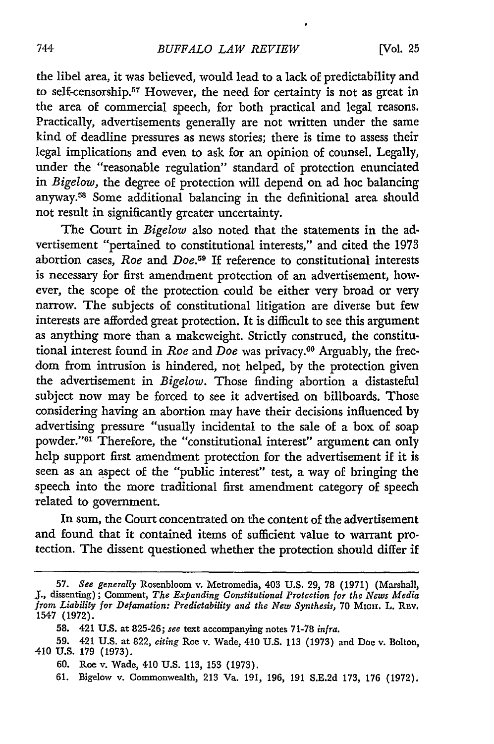the libel area, it was believed, would lead to a lack of predictability and to self-censorship.<sup>57</sup> However, the need for certainty is not as great in the area of commercial speech, for both practical and legal reasons. Practically, advertisements generally are not written under the same kind of deadline pressures as news stories; there is time to assess their legal implications and even to ask for an opinion of counsel. Legally, under the "reasonable regulation" standard of protection enunciated in *Bigelow,* the degree of protection will depend on ad hoc balancing anyway.<sup>58</sup> Some additional balancing in the definitional area should not result in significantly greater uncertainty.

The Court in *Bigelow* also noted that the statements in the advertisement "pertained to constitutional interests," and cited the 1973 abortion cases, *Roe* and *Doe.59* If reference to constitutional interests is necessary for first amendment protection of an advertisement, however, the scope of the protection could be either very broad or very narrow. The subjects of constitutional litigation are diverse but few interests are afforded great protection. It is difficult to see this argument as anything more than a makeweight. Strictly construed, the constitutional interest found in *Roe* and *Doe* was privacy.<sup>60</sup> Arguably, the freedom from intrusion is hindered, not helped, by the protection given the advertisement in *Bigelow.* Those finding abortion a distasteful subject now may be forced to see it advertised on billboards. Those considering having an abortion may have their decisions influenced by advertising pressure "usually incidental to the sale of a box of soap powder."<sup>61</sup> Therefore, the "constitutional interest" argument can only help support first amendment protection for the advertisement if it is seen as an aspect of the "public interest" test, a way of bringing the speech into the more traditional first amendment category of speech related to government.

In sum, the Court concentrated on the content of the advertisement and found that it contained items of sufficient value to warrant protection. The dissent questioned whether the protection should differ if

**<sup>57.</sup>** *See generally* Rosenbloom v. Metromedia, 403 **U.S. 29,** 78 (1971) (Marshall, J., dissenting); Comment, *The Expanding Constitutional Protection for the News Media* from *Liability for Defamation: Predictability and the New Synthesis,* 70 Micin. L. Rev. 1547 (1972).

**<sup>58.</sup>** 421 **U.S.** at **825-26;** *see* text accompanying notes **71-78** *infra.*

**<sup>59.</sup>** 421 U.S. at **822,** *citing* Roe v. Wade, 410 U.S. **113** (1973) and Doe v. Bolton, 410 **U.S. 179** (1973).

**<sup>60.</sup>** Roe v. Wade, 410 U.S. 113, **153** (1973).

<sup>61.</sup> Bigelow v. Commonwealth, **213** Va. 191, **196, 191** S.E.2d 173, **176 (1972).**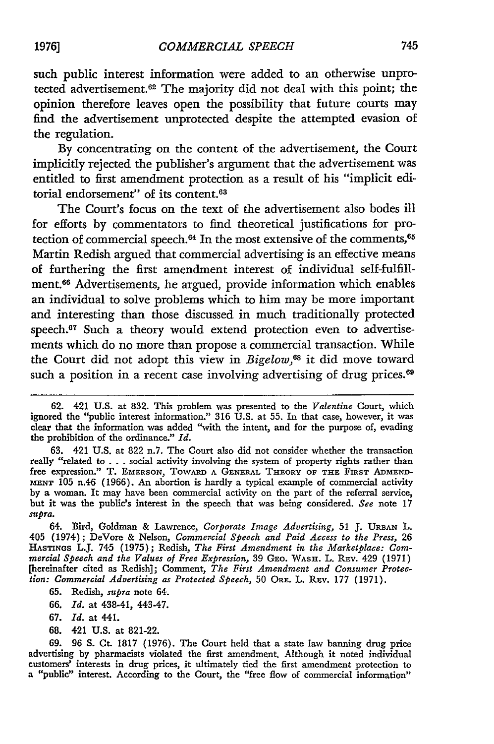such public interest information were added to an otherwise unprotected advertisement.<sup>62</sup> The majority did not deal with this point; the opinion therefore leaves open the possibility that future courts may find the advertisement unprotected despite the attempted evasion of the regulation.

**By** concentrating on the content of the advertisement, the Court implicitly rejected the publisher's argument that the advertisement was entitled to first amendment protection as a result of his "implicit editorial endorsement" of its content.<sup>63</sup>

The Court's focus on the text of the advertisement also bodes ill for efforts by commentators to find theoretical justifications for protection of commercial speech.<sup>64</sup> In the most extensive of the comments,<sup>65</sup> Martin Redish argued that commercial advertising is an effective means of furthering the first amendment interest of individual self-fulfillment.66 Advertisements, he argued, provide information which enables an individual to solve problems which to him may be more important and interesting than those discussed in much traditionally protected speech.<sup>67</sup> Such a theory would extend protection even to advertisements which do no more than propose a commercial transaction. While the Court did not adopt this view in *Bigelow*,<sup>68</sup> it did move toward such a position in a recent case involving advertising of drug prices.<sup>69</sup>

63. 421 U.S. at 822 n.7. The Court also did not consider whether the transaction really "related to . . . social activity involving the system of property rights rather than free expression." T. EMERSON, TOWARD **A GENERAL** THEORY OF **THE** FIRST **ADMEND-MENT** 105 n.46 (1966). An abortion is hardly a typical example of commercial activity by a woman. It may have been commercial activity on the part of the referral service, but it was the public's interest in the speech that was being considered. *See* note 17 *supra.*

64. Bird, Goldman & Lawrence, *Corporate Image Advertising,* 51 **J. URBAN** L. 405 (1974); DeVore & Nelson, *Commercial Speech and Paid Access to the Press,* 26 **HASTINOS** L.J. 745 (1975); Redish, *The First Amendment in the Marketplace: Commercial Speech and the Values of Free Expression,* 39 GEo. WASH. L. **REv.** 429 (1971) [hereinafter cited as Redish]; Comment, *The First Amendment and Consumer Protection: Commercial Advertising as Protected Speech,* 50 ORE. L. REv. 177 (1971).

65. Redish, *supra* note 64.

- 66. *Id.* at 438-41, 443-47.
- 67. *Id.* at 441.
- 68. 421 U.S. at 821-22.

69. 96 S. Ct. 1817 (1976). The Court held that a state law banning drug price advertising by pharmacists violated the first amendment. Although it noted individual customers' interests in drug prices, it ultimately tied the first amendment protection to a "public" interest. According to the Court, the "free flow of commercial information"

**<sup>62.</sup>** 421 **U.S.** at 832. This problem was presented to the *Valentine* Court, which ignored the "public interest information." 316 U.S. at 55. In that case, however, it was clear that the information was added "with the intent, and for the purpose of, evading the prohibition of the ordinance." *Id.*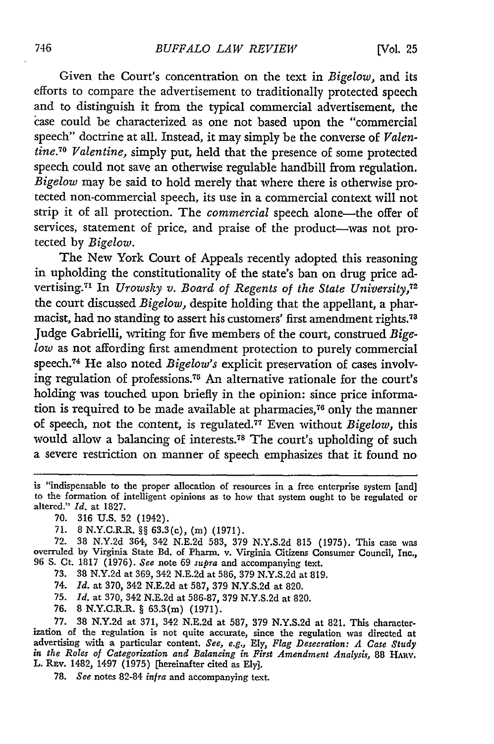Given the Court's concentration on the text in *Bigelow,* and its efforts to compare the advertisement to traditionally protected speech and to distinguish it from the typical commercial advertisement, the case could be characterized as one not based upon the "commercial speech" doctrine at all. Instead, it may simply be the converse of *Valentine. 0 Valentine,* simply put, held that the presence of some protected speech could not save an otherwise regulable handbill from regulation. *Bigelow* may be said to hold merely that where there is otherwise protected non-commercial speech, its use in a commercial context will not strip it of all protection. The *commercial* speech alone-the offer of services, statement of price, and praise of the product--was not protected **by** *Bigelow.*

The New York Court of Appeals recently adopted this reasoning in upholding the constitutionality of the state's ban on drug price advertising.71 In *Urowsky v. Board of Regents of the State University,72* the court discussed *Bigelow,* despite holding that the appellant, a pharmacist, had no standing to assert his customers' first amendment rights.<sup>78</sup> Judge Gabrielli, writing for five members of the court, construed Bige*low* as not affording first amendment protection to purely commercial speech.<sup>74</sup> He also noted *Bigelow's* explicit preservation of cases involving regulation of professions.7 5 An alternative rationale for the court's holding was touched upon briefly in the opinion: since price information is required to be made available at pharmacies, $76$  only the manner of speech, not the content, is regulated.77 Even without *Bigelow,* this would allow a balancing of interests.78 The court's upholding of such a severe restriction on manner of speech emphasizes that it found no

- **70. 316 U.S. 52** (1942).
- **71.** 8 N.Y.C.R.R. §§ **63.3(c),** (m) (1971).
- 72. 38 N.Y.2d 364, 342 N.E.2d 583, 379 N.Y.S.2d 815 (1975). This case was overruled by Virginia State Bd. of Pharm. v. Virginia Citizens Consumer Council, Inc., **96 S.** Ct. **1817 (1976).** *See* note **69** *supra* and accompanying text.
	- **73. 38 N.Y.2d** at **369,** 342 **N.E.2d** at **586, 379 N.Y.S.2d** at **819.**
	- 74. *Id.* at **370,** 342 **N.E.2d** at 587, **379 N.Y.S.2d** at **820.**
	- **75.** *Id.* at **370,** 342 **N.E.2d** at **586-87, 379 N.Y.S.2d** at **820.**
	- **76.** 8 N.Y.C.R.R. § 63.3(m) **(1971).**

77. 38 **N.Y.2d** at 371, 342 N.E.2d at 587, 379 N.Y.S.2d at 821. This characterization of the regulation is not quite accurate, since the regulation was directed at advertising with a particular content. *See, e.g.,* Ely, *Flag Desecration: A Case Study in the Roles of Categorization and Balancing in First Amendment Analysis,* 88 HARV. L. REv. 1482, 1497 (1975) [hereinafter cited as Ely].

78. *See* notes 82-84 *infra* and accompanying text.

is "indispensable to the proper allocation of resources in a free enterprise system [and] to the formation of intelligent opinions as to how that system ought to be regulated or altered." *Id.* at **1827.**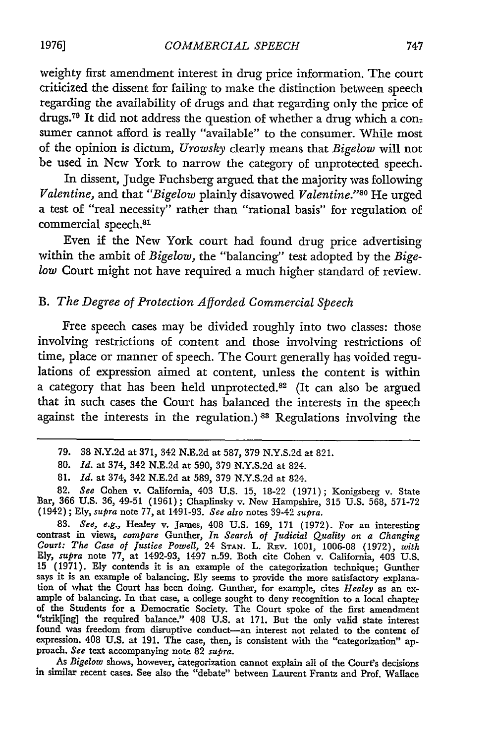weighty first amendment interest in drug price information. The court criticized the dissent for failing to make the distinction between speech regarding the availability of drugs and that regarding only the price of drugs.79 It did not address the question of whether a drug which a con: sumer cannot afford is really "available" to the consumer. While most of the opinion is dictum, *Urowsky* clearly means that *Bigelow* will not be used in New York to narrow the category of unprotected speech.

In dissent, Judge Fuchsberg argued that the majority was following *Valentine, and that "Bigelow plainly disavowed <i>Valentine.*"<sup>80</sup> He urged a test of "real necessity" rather than "rational basis" for regulation of commercial speech.<sup>81</sup>

Even if the New York court had found drug price advertising within the ambit of *Bigelow,* the "balancing" test adopted by the *Bigelow* Court might not have required a much higher standard of review.

## *B. The Degree of Protection Afforded Commercial Speech*

Free speech cases may be divided roughly into two classes: those involving restrictions of content and those involving restrictions of time, place or manner of speech. The Court generally has voided regulations of expression aimed at content, unless the content is within a category that has been held unprotected.<sup>82</sup> (It can also be argued that in such cases the Court has balanced the interests in the speech against the interests in the regulation.) **83** Regulations involving the

*As Bigelow* shows, however, iategorization cannot explain all of the Court's decisions in similar recent cases. See also the "debate" between Laurent Frantz and Prof. Wallace

<sup>79. 38</sup> N.Y.2d at 371, 342 N.E.2d at 587, 379 N.Y.S.2d at 821.

<sup>80.</sup> *Id.* at 374, 342 N.E.2d at 590, 379 N.Y.S.2d at 824.

<sup>81.</sup> *Id.* at 374, 342 N.E.2d at 589, 379 N.Y.S.2d at 824.

<sup>82.</sup> *See* Cohen v. California, 403 U.S. 15, 18-22 (1971); Konigsberg v. State Bar, 366 U.S. 36, 49-51 (1961); Chaplinsky v. New Hampshire, 315 U.S. 568, 571-72 (1942) ; Ely, *supra* note 77, at 1491-93. *See also* notes 39-42 *supra.*

*<sup>83.</sup> See, e.g.,* Healey v. James, 408 U.S. 169, 171 (1972). For an interesting contrast in views, *compare* Gunther, *In Search of Judicial Quality on a Changing Court: The Case of Justice Powell,* 24 **STAN.** L. Rav. 1001, 1006-08 (1972), *with* Ely, *supra* note 77, at 1492-93, 1497 n.59. Both cite Cohen v. California, 403 U.S. 15 (1971). Ely contends it is an example of the categorization technique; Gunther Express to provide the more statisticity explana-<br>says it is an example of balancing. Ely seems to provide the more satisfactory explana-<br>tion of what the Court has been doing. Gunther, for example, cites *Healey* as an ex "strik[ing] the required balance." 408 U.S. at 171. But the only valid state interest found was freedom from disruptive conduct-an interest not related to the content of expression. 408 U.S. at 191. The case, then, is consistent with the "categorization" approach. *See* text accompanying note 82 *supra*.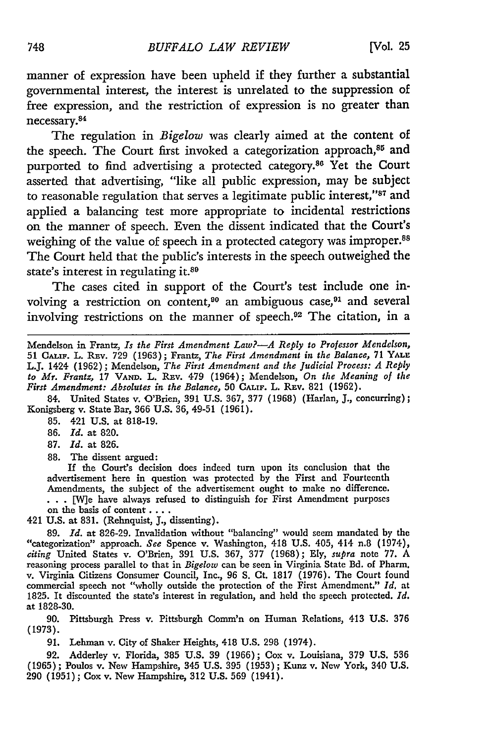manner of expression have been upheld if they further a substantial governmental interest, the interest is unrelated to the suppression of free expression, and the restriction of expression is no greater than necessary.8

The regulation in *Bigelow* was clearly aimed at the content of the speech. The Court first invoked a categorization approach, $85$  and purported to find advertising a protected category.<sup>86</sup> Yet the Court asserted that advertising, "like all public expression, may be subject to reasonable regulation that serves a legitimate public interest,"87 and applied a balancing test more appropriate to incidental restrictions on the manner of speech. Even the dissent indicated that the Court's weighing of the value of speech in a protected category was improper.<sup>88</sup> The Court held that the public's interests in the speech outweighed the state's interest in regulating it.80

The cases cited in support of the Court's test include one involving a restriction on content,<sup>90</sup> an ambiguous case,<sup>91</sup> and several involving restrictions on the manner of speech. 92 The citation, in a

Mendelson in Frantz, *Is the First Amendment Law?-A Reply to Professor Mendelson,* 51 CALIF. L. REv. 729 (1963); Frantz, *The First Amendment in the Balance,* 71 **YALE** L.J. 1424 (1962); Mendelson, *The First Amendment and the Judicial Process: A Reply to Mr. Frantz,* 17 **VAND.** L. **REv.** 479 (1964); Mendelson, *On the Meaning of the First Amendment: Absolutes in the Balance,* 50 **CALIF.** L. **REV.** 821 (1962).

84. United States v. O'Brien, 391 U.S. 367, 377 (1968) (Harlan, J., concurring); Konigsberg v. State Bar, 366 U.S. 36, 49-51 (1961).

85. 421 U.S. at 818-19.

86. *Id.* at 820.

87. *Id.* at 826.

**88.** The dissent argued:

If the Court's decision does indeed turn upon its conclusion that the advertisement here in question was protected by the First and Fourteenth Amendments, the subject of the advertisement ought to make no difference. • . **\* [We** have always refused to distinguish for First Amendment purposes on the basis of content ....

421 U.S. at 831. (Rehnquist, *J.,* dissenting).

**89.** *Id.* at 826-29. Invalidation without "balancing" would seem mandated by the "categorization" approach. *See* Spence v. Washington, 418 U.S. 405, 414 n.8 (1974), *citing* United States v. O'Brien, **391** U.S. 367, **377** (1968); Ely, *supra* note 77. A reasoning process parallel to that in *Bigelow* can be seen in Virginia State Bd. of Pharm. v. Virginia Citizens Consumer Council, Inc., **96 S.** Ct. 1817 (1976). The Court found commercial speech not "wholly outside the protection of the First Amendment." *Id.* at 1825. It discounted the state's interest in regulation, and held the speech protected. *Id.* at 1828-30.

**90.** Pittsburgh Press v. Pittsburgh Comm'n on Human Relations, 413 U.S. 376 (1973).

91. Lehman v. City of Shaker Heights, 418 **U.S.** 298 (1974).

92. Adderley v. Florida, 385 **U.S.** 39 (1966); Cox v. Louisiana, 379 **U.S.** 536 (1965); Poulos v. New Hampshire, 345 **U.S.** 395 (1953); Kunz v. New York, 340 **U.S.** 290 (1951); Cox v. New Hampshire, 312 U.S. 569 (1941).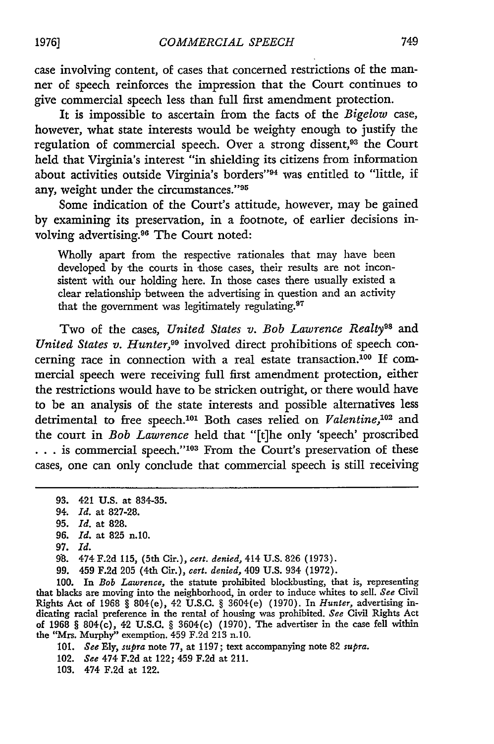case involving content, of cases that concerned restrictions of the manner of speech reinforces the impression that the Court continues to give commercial speech less than full first amendment protection.

It is impossible to ascertain from the facts of the *Bigelow* case, however, what state interests would be weighty enough to justify the regulation of commercial speech. Over a strong dissent,<sup>93</sup> the Court held that Virginia's interest "in shielding its citizens from information about activities outside Virginia's borders"<sup>94</sup> was entitled to "little, if any, weight under the circumstances."<sup>95</sup>

Some indication of the Court's attitude, however, may be gained by examining its preservation, in a footnote, of earlier decisions involving advertising.96 The Court noted:

Wholly apart from the respective rationales that may have been developed by the courts in those cases, their results are not inconsistent with our holding here. In those cases there usually existed a clear relationship 'between the advertising in question and an activity that the government was legitimately regulating. $97$ 

Two of the cases, *United States v. Bob Lawrence Realty*<sup>98</sup> and *United States v. Hunter,99* involved direct prohibitions of speech concerning race in connection with a real estate transaction.100 If commercial speech were receiving full first amendment protection, either the restrictions would have to be stricken outright, or there would have to be an analysis of the state interests and possible alternatives less detrimental to free speech.<sup>101</sup> Both cases relied on *Valentine*,<sup>102</sup> and the court in *Bob Lawrence* held that "[t]he only 'speech' proscribed **...** is commercial speech."<sup>103</sup> From the Court's preservation of these cases, one can only conclude that commercial speech is still receiving

100. In *Bob Lawrence,* the statute prohibited blockbusting, that is, representing that blacks are moving into the neighborhood, in order to induce whites to sell. *See* Civil Rights Act of **1968** § 804(e), 42 **U.S.C.** § 3604(e) **(1970).** In *Hunter,* advertising indicating racial preference in the rental of housing was prohibited. *See* Civil Rights Act of **1968** § 804(c), 42 **U.S.C.** § 3604(c) **(1970).** The advertiser in the case fell within the "Mrs. Murphy" exemption. 459 **F.2d** 213 n.10.

101. *See* Ely, *supra* note **77,** at 1197; text accompanying note 82 *supra.*

102. *See* 474 **F.2d** at 122; 459 **F.2d** at 211.

**103.** 474 **F.2d** at 122.

**<sup>93.</sup>** 421 **U.S.** at 834-35.

<sup>94.</sup> *Id.* at **827-28.**

**<sup>95.</sup>** *Id.* at **828.**

**<sup>96.</sup>** *Id.* at **825** n.10.

**<sup>97.</sup>** *Id.*

**<sup>9&</sup>quot;8.** 474 **F.2d 115,** (5th Cir.), *cert. denied,* 414 **U.S.** 826 **(1973).**

**<sup>99.</sup>** 459 **F.2d 205** (4th Cir.), *cert. denied,* 409 **U.S.** 934 **(1972).**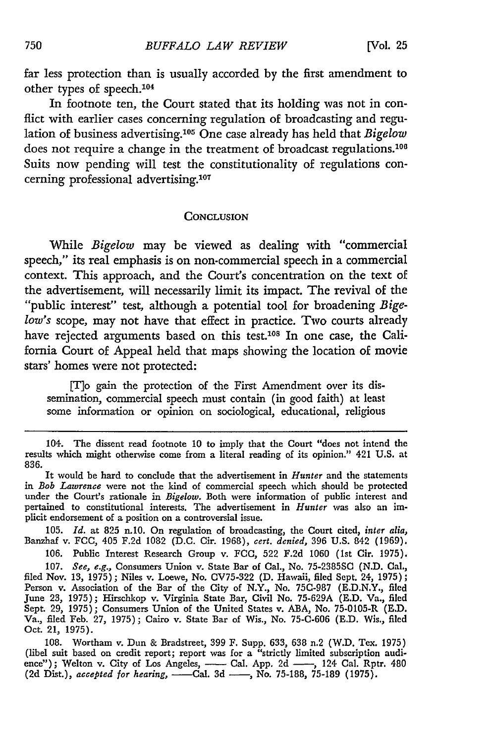far less protection than is usually accorded **by** the first amendment to other types of speech. <sup>104</sup>

In footnote ten, the Court stated that its holding was not in conflict with earlier cases concerning regulation of broadcasting and regulation of business advertising.<sup>105</sup> One case already has held that *Bigelow* does not require a change in the treatment of broadcast regulations.<sup>106</sup> Suits now pending will test the constitutionality of regulations concerning professional advertising.<sup>107</sup>

#### **CONCLUSION**

While *Bigelow* may be viewed as dealing with "commercial speech," its real emphasis is on non-commercial speech in a commercial context. This approach, and the Court's concentration on the text of the advertisement, will necessarily limit its impact. The revival of the "public interest" test, although a potential tool for broadening *Bigelow's* scope, may not have that effect in practice. Two courts already have rejected arguments based on this test.<sup>108</sup> In one case, the California Court of Appeal held that maps showing the location of movie stars' homes were not protected:

[flo gain the protection of the First Amendment over its dissemination, commercial speech must contain (in good faith) at least some information or opinion on sociological, educational, religious

**105.** *Id.* at **825** n.10. On regulation of broadcasting, the Court cited, *inter alia,* Banzhaf v. FCC, 405 **F.2d** 1082 **(D.C.** Cir. **1968),** *cert. denied,* **396 U.S.** 842 **(1969).**

**106.** Public Interest Research Group v. FCC, **522 F.2d 1060** (Ist Cir. **1975). 107.** *See, e.g.,* Consumers Union v. State Bar of Cal., No. **75-2385SC (N.D.** Cal., filed Nov. **13, 1975);** Niles v. Loewe, No. **CV75-322 (D.** Hawaii, **filed** Sept. 24, **1975);** Person v. Association of the Bar of the City of N.Y., No. **75C-987 (E.D.N.Y.,** filed June **23, 1975);** Hirschkop v. Virginia State Bar, Civil No. **75-629A (E.D.** Va., filed Sept. **29, 1975);** Consumers Union of the United States v. **ABA,** No. 75-0105-R **(E.D.** Va., filed Feb. **27, 1975);** Cairo v. State Bar of Wis., No. **75-C-606** (E.D. Wis., **filed** Oct. 21, **1975).**

**108.** Wortham v. Dun & Bradstreet, **399** F. Supp. **633, 638** n.2 (W.D. Tex. **1975)** (libel suit based on credit report; report was for a "strictly limited subscription audience"); Welton v. City of Los Angeles, — Cal. App. 2d — , 124 Cal. Rptr. 480 (2d Dist.), *accepted for hearing*, — Cal. 3d — , No. 75-188, 75-189 (1975).

<sup>104.</sup> The dissent read footnote 10 to imply that the Court "does not intend the results which might otherwise come from a literal reading of its opinion." 421 U.S. at 836.

It would be hard to conclude that the advertisement in *Hunter* and the statements in *Bob Lawrence* were not the kind of commercial speech which should **be** protected under the Court's rationale in *Bigelow.* Both were information of public interest and pertained to constitutional interests. The advertisement in *Hunter* was also an implicit endorsement of a position on a controversial issue.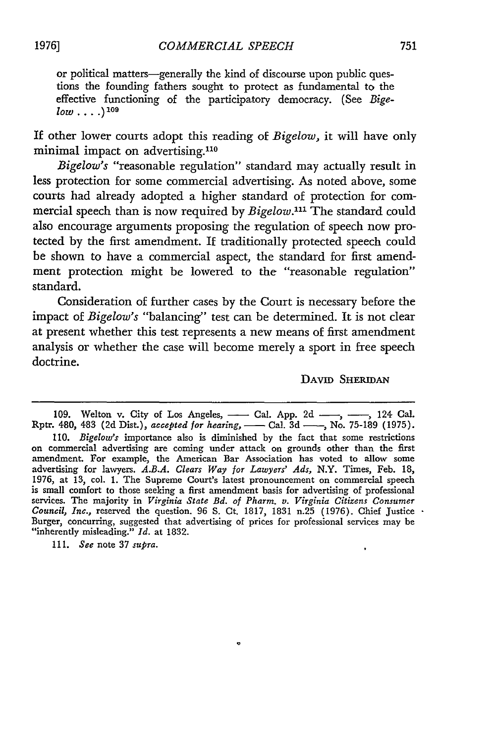or political matters-generally the kind of discourse upon public questions the founding fathers sought to protect as fundamental to the effective functioning of the participatory democracy. (See *Bige* $low...$ <sup>109</sup>

If other lower courts adopt this reading of *Bigelow,* it will have only minimal impact on advertising.110

*Bigelow's* "reasonable regulation" standard may actually result in less protection for some commercial advertising. As noted above, some courts had already adopted a higher standard of protection for commercial speech than is now required by *Bigelow*.<sup>111</sup> The standard could also encourage arguments proposing the regulation of speech now protected by the first amendment. If traditionally protected speech could be shown to have a commercial aspect, the standard for first amendment protection might be lowered to the "reasonable regulation" standard.

Consideration of further cases by the Court is necessary before the impact of *Bigelow's* "balancing" test can be determined. It is not clear at present whether this test represents a new means of first amendment analysis or whether the case will become merely a sport in free speech doctrine.

DAVID SHERIDAN

 $\ddot{\phantom{0}}$ 

111. *See* note 37 *supra.*

<sup>109.</sup> Welton v. City of Los Angeles, <u>**--- Cal. App. 2d <b>---**, **---**, 124 Cal.</u><br>Rptr. 480, 483 (2d Dist.), *accepted for hearing*, **---** Cal. 3d ---, No. 75-189 (1975).</u>

<sup>110.</sup> *Bigelow's* importance also is diminished by the fact that some restrictions on commercial advertising are coming under attack on grounds other than the first amendment. For example, the American Bar Association has voted to allow some advertising for lawyers. *A.B.A. Clears Way for Lawyers' Ads,* N.Y. Times, Feb. **18,** 1976, at 13, col. 1. The Supreme Court's latest pronouncement on commercial speech is small comfort to those seeking a first amendment basis for advertising of professional services. The majority in *Virginia State Bd. of Pharm. v. Virginia Citizens Consumer Council, Inc.,* reserved the question. 96 S. Ct. 1817, 1831 n.25 (1976). Chief Justice Burger, concurring, suggested that advertising of prices for professional services may be "inherently misleading." *Id.* at 1832.